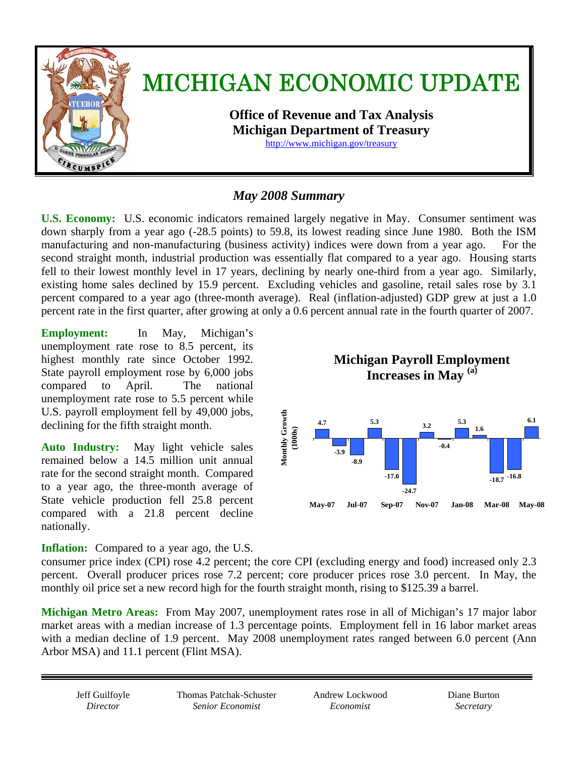

# *May 2008 Summary*

**U.S. Economy:** U.S. economic indicators remained largely negative in May. Consumer sentiment was down sharply from a year ago (-28.5 points) to 59.8, its lowest reading since June 1980. Both the ISM manufacturing and non-manufacturing (business activity) indices were down from a year ago. For the second straight month, industrial production was essentially flat compared to a year ago. Housing starts fell to their lowest monthly level in 17 years, declining by nearly one-third from a year ago. Similarly, existing home sales declined by 15.9 percent.Excluding vehicles and gasoline, retail sales rose by 3.1 percent compared to a year ago (three-month average).Real (inflation-adjusted) GDP grew at just a 1.0 percent rate in the first quarter, after growing at only a 0.6 percent annual rate in the fourth quarter of 2007.

**Employment:** In May, Michigan's unemployment rate rose to 8.5 percent, its highest monthly rate since October 1992. State payroll employment rose by 6,000 jobs compared to April. The national unemployment rate rose to 5.5 percent while U.S. payroll employment fell by 49,000 jobs, declining for the fifth straight month.

**Auto Industry:** May light vehicle sales remained below a 14.5 million unit annual rate for the second straight month. Compared to a year ago, the three-month average of State vehicle production fell 25.8 percent compared with a 21.8 percent decline nationally.

**Inflation:** Compared to a year ago, the U.S.

**Michigan Payroll Employment Increases in May (a) Monthly Growth Monthly Growth 5.3 6.1 5.3 4.7 3.2 1.6 (1000s) -0.4 -3.9 -8.9 -18.7 -16.8 -17.0 -24.7 May-07 Jul-07 Sep-07 Nov-07 Jan-08 Mar-08 May-08**

consumer price index (CPI) rose 4.2 percent; the core CPI (excluding energy and food) increased only 2.3 percent. Overall producer prices rose 7.2 percent; core producer prices rose 3.0 percent. In May, the monthly oil price set a new record high for the fourth straight month, rising to \$125.39 a barrel.

**Michigan Metro Areas:** From May 2007, unemployment rates rose in all of Michigan's 17 major labor market areas with a median increase of 1.3 percentage points. Employment fell in 16 labor market areas with a median decline of 1.9 percent. May 2008 unemployment rates ranged between 6.0 percent (Ann Arbor MSA) and 11.1 percent (Flint MSA).

Jeff Guilfoyle *Director* 

Thomas Patchak-Schuster *Senior Economist* 

Andrew Lockwood *Economist* 

Diane Burton *Secretary*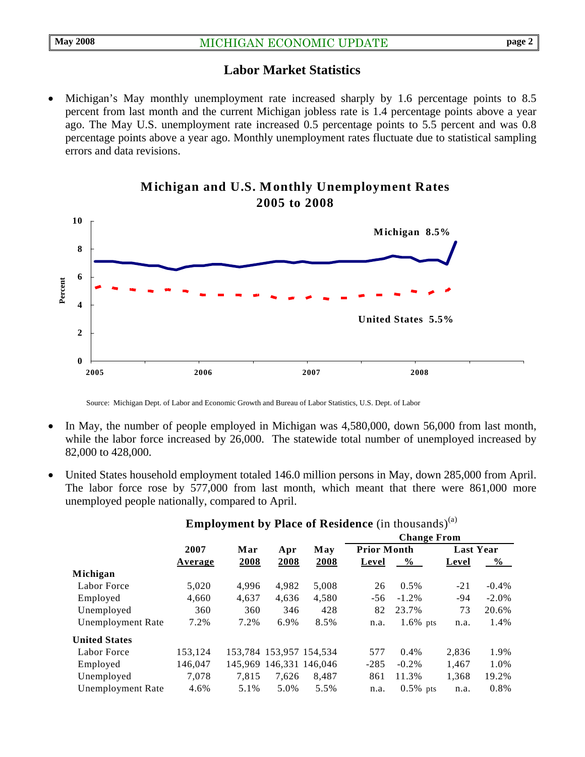#### **Labor Market Statistics**

• Michigan's May monthly unemployment rate increased sharply by 1.6 percentage points to 8.5 percent from last month and the current Michigan jobless rate is 1.4 percentage points above a year ago. The May U.S. unemployment rate increased 0.5 percentage points to 5.5 percent and was 0.8 percentage points above a year ago. Monthly unemployment rates fluctuate due to statistical sampling errors and data revisions.



#### **Michigan and U.S. Monthly Unemployment Rates 2005 to 2008**

Source: Michigan Dept. of Labor and Economic Growth and Bureau of Labor Statistics, U.S. Dept. of Labor

- In May, the number of people employed in Michigan was 4,580,000, down 56,000 from last month, while the labor force increased by 26,000. The statewide total number of unemployed increased by 82,000 to 428,000.
- United States household employment totaled 146.0 million persons in May, down 285,000 from April. The labor force rose by 577,000 from last month, which meant that there were 861,000 more unemployed people nationally, compared to April.

|                          |         |       |                         | May                     | <b>Change From</b> |             |                  |               |
|--------------------------|---------|-------|-------------------------|-------------------------|--------------------|-------------|------------------|---------------|
|                          | 2007    | Mar   | Apr                     |                         | <b>Prior Month</b> |             | <b>Last Year</b> |               |
|                          | Average | 2008  | 2008                    | 2008                    | Level              | $\%$        | Level            | $\frac{6}{9}$ |
| Michigan                 |         |       |                         |                         |                    |             |                  |               |
| Labor Force              | 5,020   | 4.996 | 4.982                   | 5,008                   | 26                 | $0.5\%$     | $-21$            | $-0.4\%$      |
| Employed                 | 4,660   | 4,637 | 4,636                   | 4,580                   | $-56$              | $-1.2\%$    | $-94$            | $-2.0\%$      |
| Unemployed               | 360     | 360   | 346                     | 428                     | 82                 | 23.7%       | 73               | 20.6%         |
| <b>Unemployment Rate</b> | 7.2%    | 7.2%  | 6.9%                    | 8.5%                    | n.a.               | $1.6\%$ pts | n.a.             | 1.4%          |
| <b>United States</b>     |         |       |                         |                         |                    |             |                  |               |
| Labor Force              | 153.124 |       | 153,784 153,957 154,534 |                         | 577                | 0.4%        | 2.836            | 1.9%          |
| Employed                 | 146,047 |       |                         | 145,969 146,331 146,046 | $-285$             | $-0.2\%$    | 1,467            | 1.0%          |
| Unemployed               | 7.078   | 7.815 | 7.626                   | 8.487                   | 861                | 11.3%       | 1,368            | 19.2%         |
| <b>Unemployment Rate</b> | 4.6%    | 5.1%  | 5.0%                    | 5.5%                    | n.a.               | $0.5\%$ pts | n.a.             | 0.8%          |
|                          |         |       |                         |                         |                    |             |                  |               |

## **Employment by Place of Residence** (in thousands)<sup>(a)</sup>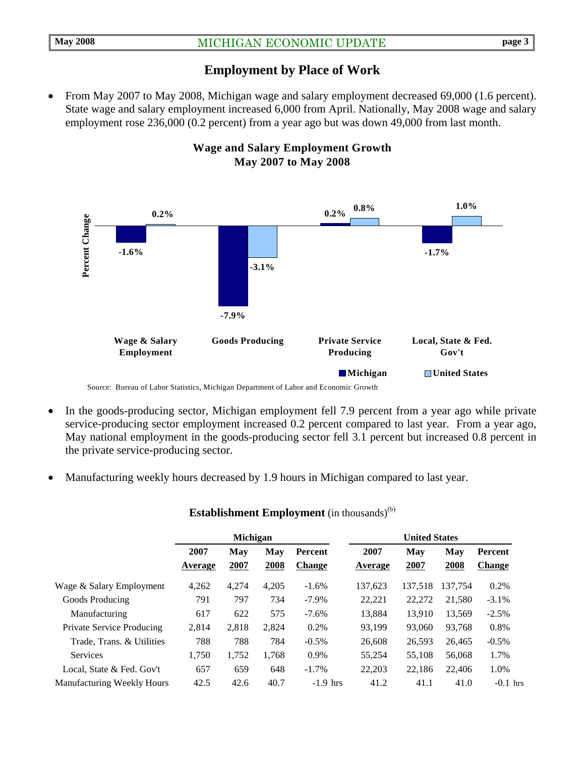## **Employment by Place of Work**

• From May 2007 to May 2008, Michigan wage and salary employment decreased 69,000 (1.6 percent). State wage and salary employment increased 6,000 from April. Nationally, May 2008 wage and salary employment rose 236,000 (0.2 percent) from a year ago but was down 49,000 from last month.



## **Wage and Salary Employment Growth May 2007 to May 2008**

- In the goods-producing sector, Michigan employment fell 7.9 percent from a year ago while private service-producing sector employment increased 0.2 percent compared to last year. From a year ago, May national employment in the goods-producing sector fell 3.1 percent but increased 0.8 percent in the private service-producing sector.
- Manufacturing weekly hours decreased by 1.9 hours in Michigan compared to last year.

|                                   | Michigan        |             |             |                          | <b>United States</b> |             |             |                                 |  |
|-----------------------------------|-----------------|-------------|-------------|--------------------------|----------------------|-------------|-------------|---------------------------------|--|
|                                   | 2007<br>Average | May<br>2007 | May<br>2008 | Percent<br><b>Change</b> | 2007<br>Average      | May<br>2007 | May<br>2008 | <b>Percent</b><br><b>Change</b> |  |
| Wage & Salary Employment          | 4,262           | 4,274       | 4,205       | $-1.6%$                  | 137,623              | 137.518     | 137.754     | 0.2%                            |  |
| Goods Producing                   | 791             | 797         | 734         | $-7.9\%$                 | 22.221               | 22,272      | 21,580      | $-3.1\%$                        |  |
| Manufacturing                     | 617             | 622         | 575         | $-7.6\%$                 | 13.884               | 13.910      | 13,569      | $-2.5%$                         |  |
| Private Service Producing         | 2,814           | 2,818       | 2,824       | 0.2%                     | 93.199               | 93,060      | 93.768      | 0.8%                            |  |
| Trade, Trans. & Utilities         | 788             | 788         | 784         | $-0.5\%$                 | 26,608               | 26,593      | 26,465      | $-0.5\%$                        |  |
| <b>Services</b>                   | 1,750           | 1,752       | 1,768       | 0.9%                     | 55,254               | 55,108      | 56,068      | 1.7%                            |  |
| Local, State & Fed. Gov't         | 657             | 659         | 648         | $-1.7\%$                 | 22,203               | 22,186      | 22,406      | 1.0%                            |  |
| <b>Manufacturing Weekly Hours</b> | 42.5            | 42.6        | 40.7        | $-1.9$ hrs               | 41.2                 | 41.1        | 41.0        | $-0.1$ hrs                      |  |

#### **Establishment Employment** (in thousands)<sup>(b)</sup>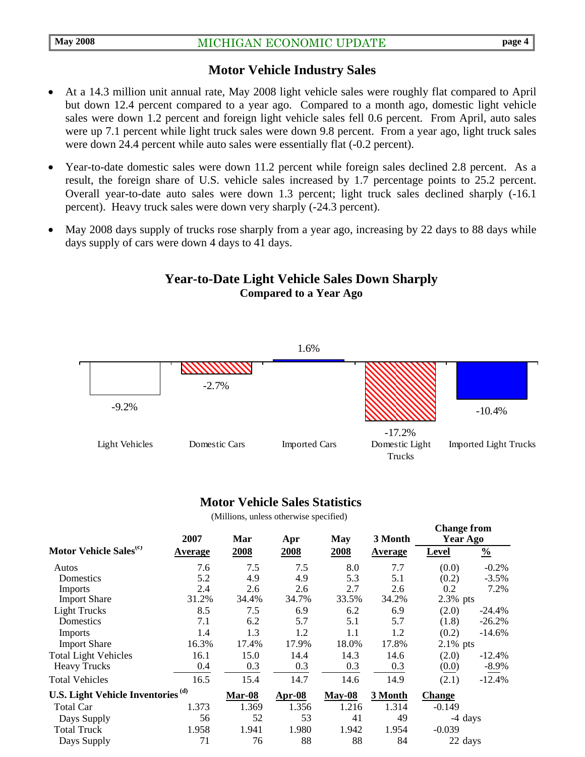#### **Motor Vehicle Industry Sales**

- At a 14.3 million unit annual rate, May 2008 light vehicle sales were roughly flat compared to April but down 12.4 percent compared to a year ago. Compared to a month ago, domestic light vehicle sales were down 1.2 percent and foreign light vehicle sales fell 0.6 percent. From April, auto sales were up 7.1 percent while light truck sales were down 9.8 percent. From a year ago, light truck sales were down 24.4 percent while auto sales were essentially flat (-0.2 percent).
- Year-to-date domestic sales were down 11.2 percent while foreign sales declined 2.8 percent. As a result, the foreign share of U.S. vehicle sales increased by 1.7 percentage points to 25.2 percent. Overall year-to-date auto sales were down 1.3 percent; light truck sales declined sharply (-16.1 percent). Heavy truck sales were down very sharply (-24.3 percent).
- May 2008 days supply of trucks rose sharply from a year ago, increasing by 22 days to 88 days while days supply of cars were down 4 days to 41 days.

#### **Year-to-Date Light Vehicle Sales Down Sharply Compared to a Year Ago**



#### **Motor Vehicle Sales Statistics**

(Millions, unless otherwise specified)

|                                               | 2007    | Mar    | Apr      | <b>May</b> | 3 Month | $\sim$ <i>mange in ome</i><br>Year Ago |               |
|-----------------------------------------------|---------|--------|----------|------------|---------|----------------------------------------|---------------|
| Motor Vehicle Sales <sup>(c)</sup>            | Average | 2008   | 2008     | 2008       | Average | <b>Level</b>                           | $\frac{0}{0}$ |
| Autos                                         | 7.6     | 7.5    | 7.5      | 8.0        | 7.7     | (0.0)                                  | $-0.2%$       |
| Domestics                                     | 5.2     | 4.9    | 4.9      | 5.3        | 5.1     | (0.2)                                  | $-3.5%$       |
| <b>Imports</b>                                | 2.4     | 2.6    | 2.6      | 2.7        | 2.6     | 0.2                                    | 7.2%          |
| <b>Import Share</b>                           | 31.2%   | 34.4%  | 34.7%    | 33.5%      | 34.2%   | $2.3\%$ pts                            |               |
| <b>Light Trucks</b>                           | 8.5     | 7.5    | 6.9      | 6.2        | 6.9     | (2.0)                                  | $-24.4\%$     |
| Domestics                                     | 7.1     | 6.2    | 5.7      | 5.1        | 5.7     | (1.8)                                  | $-26.2%$      |
| <b>Imports</b>                                | 1.4     | 1.3    | 1.2      | 1.1        | 1.2     | (0.2)                                  | $-14.6%$      |
| <b>Import Share</b>                           | 16.3%   | 17.4%  | 17.9%    | 18.0%      | 17.8%   | $2.1\%$ pts                            |               |
| <b>Total Light Vehicles</b>                   | 16.1    | 15.0   | 14.4     | 14.3       | 14.6    | (2.0)                                  | $-12.4%$      |
| <b>Heavy Trucks</b>                           | 0.4     | 0.3    | 0.3      | 0.3        | 0.3     | (0.0)                                  | $-8.9\%$      |
| <b>Total Vehicles</b>                         | 16.5    | 15.4   | 14.7     | 14.6       | 14.9    | (2.1)                                  | $-12.4%$      |
| U.S. Light Vehicle Inventories <sup>(d)</sup> |         | Mar-08 | $Apr-08$ | $May-08$   | 3 Month | <b>Change</b>                          |               |
| Total Car                                     | 1.373   | 1.369  | 1.356    | 1.216      | 1.314   | $-0.149$                               |               |
| Days Supply                                   | 56      | 52     | 53       | 41         | 49      | -4 days                                |               |
| <b>Total Truck</b>                            | 1.958   | 1.941  | 1.980    | 1.942      | 1.954   | $-0.039$                               |               |
| Days Supply                                   | 71      | 76     | 88       | 88         | 84      | 22 days                                |               |

**Change from**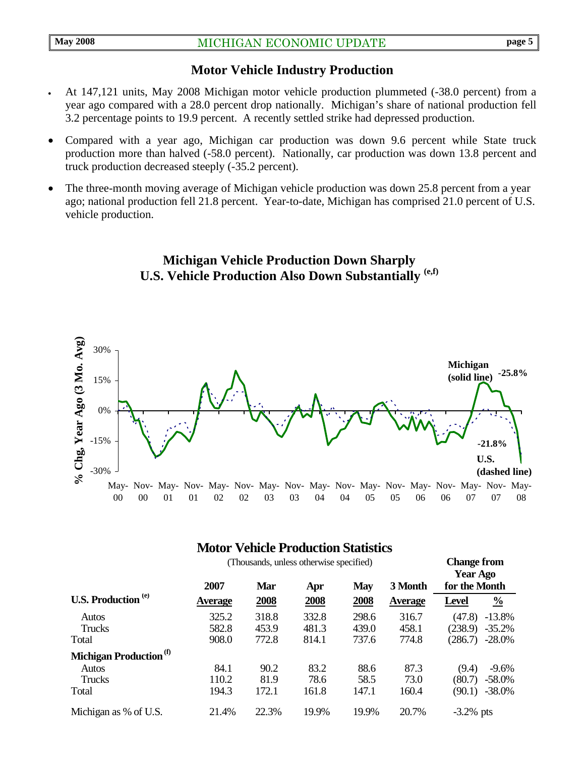#### **Motor Vehicle Industry Production**

- At 147,121 units, May 2008 Michigan motor vehicle production plummeted (-38.0 percent) from a year ago compared with a 28.0 percent drop nationally. Michigan's share of national production fell 3.2 percentage points to 19.9 percent. A recently settled strike had depressed production.
- Compared with a year ago, Michigan car production was down 9.6 percent while State truck production more than halved (-58.0 percent). Nationally, car production was down 13.8 percent and truck production decreased steeply (-35.2 percent).
- The three-month moving average of Michigan vehicle production was down 25.8 percent from a year ago; national production fell 21.8 percent. Year-to-date, Michigan has comprised 21.0 percent of U.S. vehicle production.





## **Motor Vehicle Production Statistics**

|                                       | (Thousands, unless otherwise specified) |            |       |            |                |               | <b>Change from</b><br><b>Year Ago</b> |  |  |
|---------------------------------------|-----------------------------------------|------------|-------|------------|----------------|---------------|---------------------------------------|--|--|
|                                       | 2007                                    | <b>Mar</b> | Apr   | <b>May</b> | 3 Month        | for the Month |                                       |  |  |
| <b>U.S. Production</b> <sup>(e)</sup> | <b>Average</b>                          | 2008       | 2008  | 2008       | <b>Average</b> | <b>Level</b>  | $\frac{0}{0}$                         |  |  |
| Autos                                 | 325.2                                   | 318.8      | 332.8 | 298.6      | 316.7          | (47.8)        | $-13.8%$                              |  |  |
| <b>Trucks</b>                         | 582.8                                   | 453.9      | 481.3 | 439.0      | 458.1          | (238.9)       | $-35.2%$                              |  |  |
| Total                                 | 908.0                                   | 772.8      | 814.1 | 737.6      | 774.8          | (286.7)       | $-28.0\%$                             |  |  |
| Michigan Production <sup>(f)</sup>    |                                         |            |       |            |                |               |                                       |  |  |
| Autos                                 | 84.1                                    | 90.2       | 83.2  | 88.6       | 87.3           | (9.4)         | $-9.6\%$                              |  |  |
| Trucks                                | 110.2                                   | 81.9       | 78.6  | 58.5       | 73.0           | (80.7)        | $-58.0\%$                             |  |  |
| Total                                 | 194.3                                   | 172.1      | 161.8 | 147.1      | 160.4          | (90.1)        | $-38.0\%$                             |  |  |
| Michigan as % of U.S.                 | 21.4%                                   | 22.3%      | 19.9% | 19.9%      | 20.7%          | $-3.2\%$ pts  |                                       |  |  |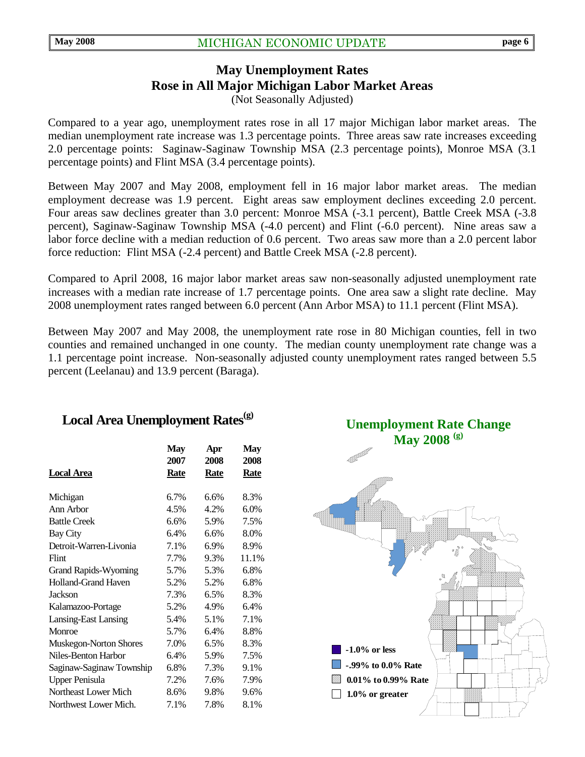## **May Unemployment Rates Rose in All Major Michigan Labor Market Areas**  (Not Seasonally Adjusted)

Compared to a year ago, unemployment rates rose in all 17 major Michigan labor market areas. The median unemployment rate increase was 1.3 percentage points. Three areas saw rate increases exceeding 2.0 percentage points: Saginaw-Saginaw Township MSA (2.3 percentage points), Monroe MSA (3.1 percentage points) and Flint MSA (3.4 percentage points).

Between May 2007 and May 2008, employment fell in 16 major labor market areas. The median employment decrease was 1.9 percent. Eight areas saw employment declines exceeding 2.0 percent. Four areas saw declines greater than 3.0 percent: Monroe MSA (-3.1 percent), Battle Creek MSA (-3.8 percent), Saginaw-Saginaw Township MSA (-4.0 percent) and Flint (-6.0 percent). Nine areas saw a labor force decline with a median reduction of 0.6 percent. Two areas saw more than a 2.0 percent labor force reduction: Flint MSA (-2.4 percent) and Battle Creek MSA (-2.8 percent).

Compared to April 2008, 16 major labor market areas saw non-seasonally adjusted unemployment rate increases with a median rate increase of 1.7 percentage points. One area saw a slight rate decline. May 2008 unemployment rates ranged between 6.0 percent (Ann Arbor MSA) to 11.1 percent (Flint MSA).

Between May 2007 and May 2008, the unemployment rate rose in 80 Michigan counties, fell in two counties and remained unchanged in one county. The median county unemployment rate change was a 1.1 percentage point increase. Non-seasonally adjusted county unemployment rates ranged between 5.5 percent (Leelanau) and 13.9 percent (Baraga).

# Local Area Unemployment Rates<sup>(g)</sup>

|                               | <b>May</b> | Apr         | May         |
|-------------------------------|------------|-------------|-------------|
|                               | 2007       | 2008        | 2008        |
| <b>Local Area</b>             | Rate       | <b>Rate</b> | <b>Rate</b> |
| Michigan                      | 6.7%       | 6.6%        | 8.3%        |
| Ann Arbor                     | 4.5%       | 4.2%        | 6.0%        |
| <b>Battle Creek</b>           | 6.6%       | 5.9%        | 7.5%        |
| <b>Bay City</b>               | 6.4%       | 6.6%        | 8.0%        |
| Detroit-Warren-Livonia        | 7.1%       | 6.9%        | 8.9%        |
| Flint                         | 7.7%       | 9.3%        | 11.1%       |
| <b>Grand Rapids-Wyoming</b>   | 5.7%       | 5.3%        | 6.8%        |
| <b>Holland-Grand Haven</b>    | 5.2%       | 5.2%        | 6.8%        |
| <b>Jackson</b>                | 7.3%       | 6.5%        | 8.3%        |
| Kalamazoo-Portage             | 5.2%       | 4.9%        | 6.4%        |
| <b>Lansing-East Lansing</b>   | 5.4%       | 5.1%        | 7.1%        |
| Monroe                        | 5.7%       | 6.4%        | 8.8%        |
| <b>Muskegon-Norton Shores</b> | 7.0%       | 6.5%        | 8.3%        |
| Niles-Benton Harbor           | 6.4%       | 5.9%        | 7.5%        |
| Saginaw-Saginaw Township      | 6.8%       | 7.3%        | 9.1%        |
| <b>Upper Penisula</b>         | 7.2%       | 7.6%        | 7.9%        |
| Northeast Lower Mich          | 8.6%       | 9.8%        | 9.6%        |
| Northwest Lower Mich.         | 7.1%       | 7.8%        | 8.1%        |

**Unemployment Rate Change May 2008 (g)**

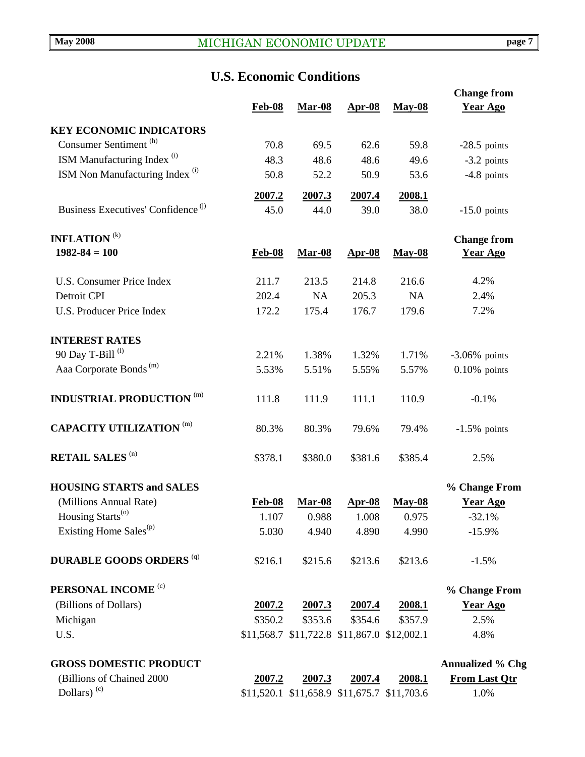# **U.S. Economic Conditions**

|                                                |                |                |                                             |                | <b>Change from</b>      |
|------------------------------------------------|----------------|----------------|---------------------------------------------|----------------|-------------------------|
|                                                | <b>Feb-08</b>  | <b>Mar-08</b>  | $Apr-08$                                    | <b>May-08</b>  | <b>Year Ago</b>         |
| <b>KEY ECONOMIC INDICATORS</b>                 |                |                |                                             |                |                         |
| Consumer Sentiment <sup>(h)</sup>              | 70.8           | 69.5           | 62.6                                        | 59.8           | $-28.5$ points          |
| ISM Manufacturing Index <sup>(i)</sup>         | 48.3           | 48.6           | 48.6                                        | 49.6           | $-3.2$ points           |
| ISM Non Manufacturing Index <sup>(i)</sup>     | 50.8           | 52.2           | 50.9                                        | 53.6           | $-4.8$ points           |
|                                                |                |                |                                             |                |                         |
| Business Executives' Confidence <sup>(j)</sup> | 2007.2<br>45.0 | 2007.3<br>44.0 | 2007.4<br>39.0                              | 2008.1<br>38.0 |                         |
|                                                |                |                |                                             |                | $-15.0$ points          |
| <b>INFLATION</b> <sup>(k)</sup>                |                |                |                                             |                | <b>Change from</b>      |
| $1982 - 84 = 100$                              | <b>Feb-08</b>  | <b>Mar-08</b>  | <b>Apr-08</b>                               | <b>May-08</b>  | <b>Year Ago</b>         |
|                                                |                |                |                                             |                |                         |
| <b>U.S. Consumer Price Index</b>               | 211.7          | 213.5          | 214.8                                       | 216.6          | 4.2%                    |
| Detroit CPI                                    | 202.4          | <b>NA</b>      | 205.3                                       | <b>NA</b>      | 2.4%                    |
| <b>U.S. Producer Price Index</b>               | 172.2          | 175.4          | 176.7                                       | 179.6          | 7.2%                    |
|                                                |                |                |                                             |                |                         |
| <b>INTEREST RATES</b>                          |                |                |                                             |                |                         |
| 90 Day T-Bill <sup>(l)</sup>                   | 2.21%          | 1.38%          | 1.32%                                       | 1.71%          | $-3.06\%$ points        |
| Aaa Corporate Bonds <sup>(m)</sup>             | 5.53%          | 5.51%          | 5.55%                                       | 5.57%          | $0.10\%$ points         |
| <b>INDUSTRIAL PRODUCTION (m)</b>               | 111.8          | 111.9          | 111.1                                       | 110.9          | $-0.1%$                 |
| <b>CAPACITY UTILIZATION (m)</b>                | 80.3%          | 80.3%          | 79.6%                                       | 79.4%          | $-1.5\%$ points         |
| <b>RETAIL SALES (n)</b>                        | \$378.1        | \$380.0        | \$381.6                                     | \$385.4        | 2.5%                    |
| <b>HOUSING STARTS and SALES</b>                |                |                |                                             |                | % Change From           |
| (Millions Annual Rate)                         | <b>Feb-08</b>  | <b>Mar-08</b>  | $Apr-08$                                    | <b>May-08</b>  | <b>Year Ago</b>         |
| Housing Starts <sup>(o)</sup>                  | 1.107          | 0.988          | 1.008                                       | 0.975          | $-32.1%$                |
| Existing Home Sales <sup>(p)</sup>             | 5.030          | 4.940          | 4.890                                       | 4.990          | $-15.9%$                |
| <b>DURABLE GOODS ORDERS (q)</b>                | \$216.1        | \$215.6        | \$213.6                                     | \$213.6        | $-1.5%$                 |
| PERSONAL INCOME <sup>(c)</sup>                 |                |                |                                             |                | % Change From           |
| (Billions of Dollars)                          | 2007.2         | 2007.3         | <u>2007.4</u>                               | 2008.1         | <b>Year Ago</b>         |
| Michigan                                       | \$350.2        | \$353.6        | \$354.6                                     | \$357.9        | 2.5%                    |
| U.S.                                           |                |                | \$11,568.7 \$11,722.8 \$11,867.0 \$12,002.1 |                | 4.8%                    |
|                                                |                |                |                                             |                |                         |
| <b>GROSS DOMESTIC PRODUCT</b>                  |                |                |                                             |                | <b>Annualized % Chg</b> |
| (Billions of Chained 2000                      | 2007.2         | 2007.3         | <u>2007.4</u>                               | 2008.1         | <b>From Last Qtr</b>    |
| Dollars) <sup>(c)</sup>                        |                |                | \$11,520.1 \$11,658.9 \$11,675.7 \$11,703.6 |                | 1.0%                    |